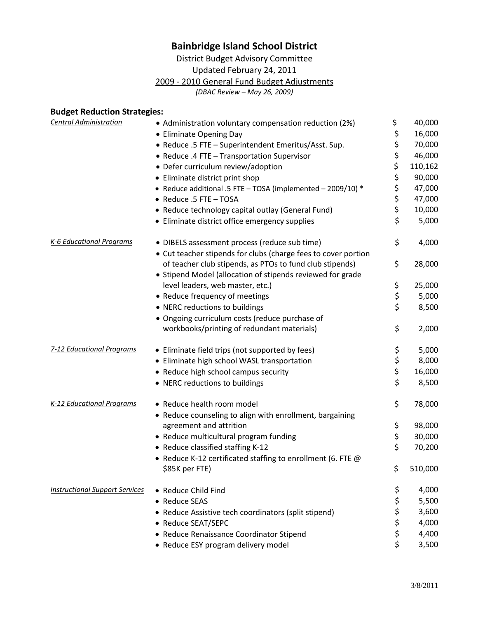## **Bainbridge Island School District**

District Budget Advisory Committee

Updated February 24, 2011

2009 - 2010 General Fund Budget Adjustments

*(DBAC Review – May 26, 2009)*

## **Budget Reduction Strategies:**

| <b>Central Administration</b>         | • Administration voluntary compensation reduction (2%)         | \$            | 40,000  |
|---------------------------------------|----------------------------------------------------------------|---------------|---------|
|                                       | • Eliminate Opening Day                                        | \$            | 16,000  |
|                                       | • Reduce .5 FTE - Superintendent Emeritus/Asst. Sup.           | \$            | 70,000  |
|                                       | • Reduce .4 FTE - Transportation Supervisor                    | \$            | 46,000  |
|                                       | • Defer curriculum review/adoption                             | \$            | 110,162 |
|                                       | • Eliminate district print shop                                | \$            | 90,000  |
|                                       | • Reduce additional .5 FTE - TOSA (implemented - 2009/10) *    |               | 47,000  |
|                                       | • Reduce .5 FTE - TOSA                                         | \$<br>\$      | 47,000  |
|                                       | • Reduce technology capital outlay (General Fund)              | \$            | 10,000  |
|                                       | • Eliminate district office emergency supplies                 | \$            | 5,000   |
| K-6 Educational Programs              | • DIBELS assessment process (reduce sub time)                  | \$            | 4,000   |
|                                       | • Cut teacher stipends for clubs (charge fees to cover portion |               |         |
|                                       | of teacher club stipends, as PTOs to fund club stipends)       | \$            | 28,000  |
|                                       | • Stipend Model (allocation of stipends reviewed for grade     |               |         |
|                                       | level leaders, web master, etc.)                               | \$            | 25,000  |
|                                       | • Reduce frequency of meetings                                 | \$            | 5,000   |
|                                       | • NERC reductions to buildings                                 | \$            | 8,500   |
|                                       | · Ongoing curriculum costs (reduce purchase of                 |               |         |
|                                       | workbooks/printing of redundant materials)                     | \$            | 2,000   |
| <b>7-12 Educational Programs</b>      | • Eliminate field trips (not supported by fees)                | \$            | 5,000   |
|                                       | • Eliminate high school WASL transportation                    | $\frac{1}{2}$ | 8,000   |
|                                       | • Reduce high school campus security                           |               | 16,000  |
|                                       | • NERC reductions to buildings                                 | \$            | 8,500   |
| K-12 Educational Programs             | • Reduce health room model                                     | \$            | 78,000  |
|                                       | • Reduce counseling to align with enrollment, bargaining       |               |         |
|                                       | agreement and attrition                                        | \$            | 98,000  |
|                                       | • Reduce multicultural program funding                         | \$            | 30,000  |
|                                       | • Reduce classified staffing K-12                              | \$            | 70,200  |
|                                       | • Reduce K-12 certificated staffing to enrollment (6. FTE @    |               |         |
|                                       | \$85K per FTE)                                                 | \$            | 510,000 |
| <b>Instructional Support Services</b> | • Reduce Child Find                                            | \$            | 4,000   |
|                                       | • Reduce SEAS                                                  | \$            | 5,500   |
|                                       | • Reduce Assistive tech coordinators (split stipend)           | \$            | 3,600   |
|                                       | • Reduce SEAT/SEPC                                             | \$            | 4,000   |
|                                       | • Reduce Renaissance Coordinator Stipend                       | \$            | 4,400   |
|                                       | • Reduce ESY program delivery model                            | \$            | 3,500   |